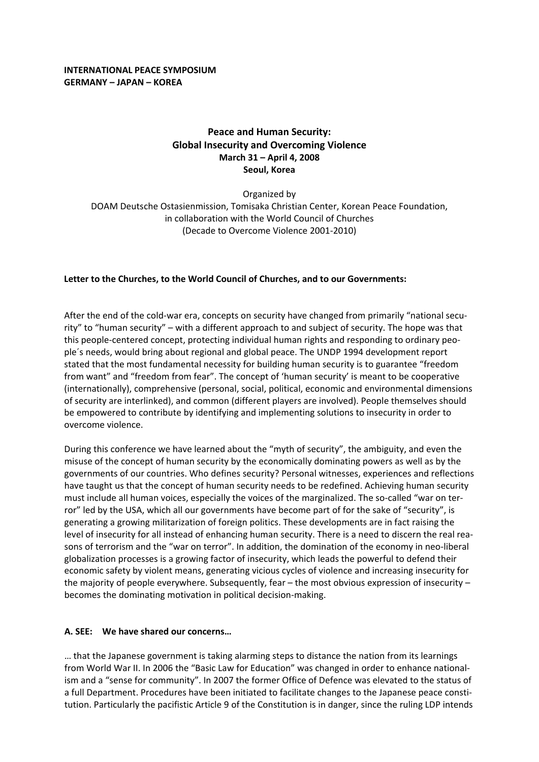# **Peace and Human Security: Global Insecurity and Overcoming Violence March 31 – April 4, 2008 Seoul, Korea**

Organized by DOAM Deutsche Ostasienmission, Tomisaka Christian Center, Korean Peace Foundation, in collaboration with the World Council of Churches (Decade to Overcome Violence 2001‐2010)

## **Letter to the Churches, to the World Council of Churches, and to our Governments:**

After the end of the cold-war era, concepts on security have changed from primarily "national security" to "human security" – with a different approach to and subject of security. The hope was that this people-centered concept, protecting individual human rights and responding to ordinary people´s needs, would bring about regional and global peace. The UNDP 1994 development report stated that the most fundamental necessity for building human security is to guarantee "freedom from want" and "freedom from fear". The concept of 'human security' is meant to be cooperative (internationally), comprehensive (personal, social, political, economic and environmental dimensions of security are interlinked), and common (different players are involved). People themselves should be empowered to contribute by identifying and implementing solutions to insecurity in order to overcome violence.

During this conference we have learned about the "myth of security", the ambiguity, and even the misuse of the concept of human security by the economically dominating powers as well as by the governments of our countries. Who defines security? Personal witnesses, experiences and reflections have taught us that the concept of human security needs to be redefined. Achieving human security must include all human voices, especially the voices of the marginalized. The so-called "war on terror" led by the USA, which all our governments have become part of for the sake of "security", is generating a growing militarization of foreign politics. These developments are in fact raising the level of insecurity for all instead of enhancing human security. There is a need to discern the real reasons of terrorism and the "war on terror". In addition, the domination of the economy in neo-liberal globalization processes is a growing factor of insecurity, which leads the powerful to defend their economic safety by violent means, generating vicious cycles of violence and increasing insecurity for the majority of people everywhere. Subsequently, fear – the most obvious expression of insecurity – becomes the dominating motivation in political decision‐making.

### **A. SEE: We have shared our concerns…**

… that the Japanese government is taking alarming steps to distance the nation from its learnings from World War II. In 2006 the "Basic Law for Education" was changed in order to enhance nationalism and a "sense for community". In 2007 the former Office of Defence was elevated to the status of a full Department. Procedures have been initiated to facilitate changes to the Japanese peace constitution. Particularly the pacifistic Article 9 of the Constitution is in danger, since the ruling LDP intends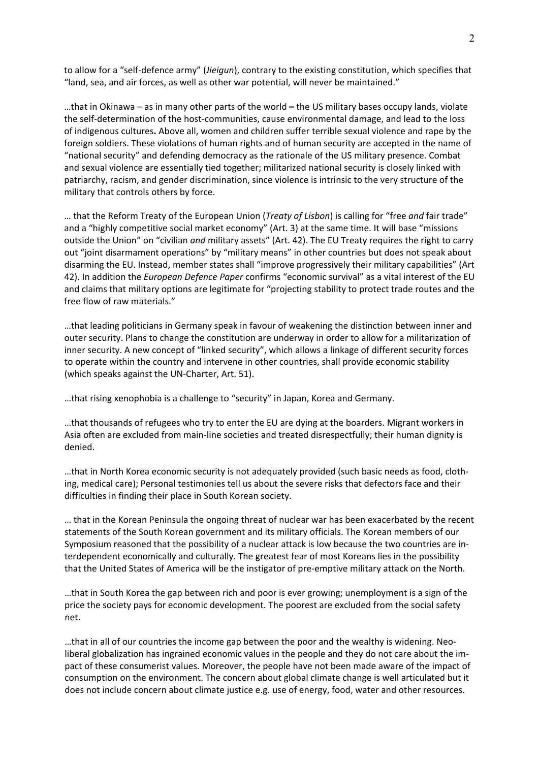to allow for a "self‐defence army" (*Jieigun*), contrary to the existing constitution, which specifies that "land, sea, and air forces, as well as other war potential, will never be maintained."

…that in Okinawa – as in many other parts of the world **–** the US military bases occupy lands, violate the self‐determination of the host‐communities, cause environmental damage, and lead to the loss of indigenous cultures**.** Above all, women and children suffer terrible sexual violence and rape by the foreign soldiers. These violations of human rights and of human security are accepted in the name of "national security" and defending democracy as the rationale of the US military presence. Combat and sexual violence are essentially tied together; militarized national security is closely linked with patriarchy, racism, and gender discrimination, since violence is intrinsic to the very structure of the military that controls others by force.

… that the Reform Treaty of the European Union (*Treaty of Lisbon*) is calling for "free *and* fair trade" and a "highly competitive social market economy" (Art. 3) at the same time. It will base "missions outside the Union" on "civilian *and* military assets" (Art. 42). The EU Treaty requires the right to carry out "joint disarmament operations" by "military means" in other countries but does not speak about disarming the EU. Instead, member states shall "improve progressively their military capabilities" (Art 42). In addition the *European Defence Paper* confirms "economic survival" as a vital interest of the EU and claims that military options are legitimate for "projecting stability to protect trade routes and the free flow of raw materials."

…that leading politicians in Germany speak in favour of weakening the distinction between inner and outer security. Plans to change the constitution are underway in order to allow for a militarization of inner security. A new concept of "linked security", which allows a linkage of different security forces to operate within the country and intervene in other countries, shall provide economic stability (which speaks against the UN‐Charter, Art. 51).

…that rising xenophobia is a challenge to "security" in Japan, Korea and Germany.

…that thousands of refugees who try to enter the EU are dying at the boarders. Migrant workers in Asia often are excluded from main‐line societies and treated disrespectfully; their human dignity is denied.

…that in North Korea economic security is not adequately provided (such basic needs as food, cloth‐ ing, medical care); Personal testimonies tell us about the severe risks that defectors face and their difficulties in finding their place in South Korean society.

… that in the Korean Peninsula the ongoing threat of nuclear war has been exacerbated by the recent statements of the South Korean government and its military officials. The Korean members of our Symposium reasoned that the possibility of a nuclear attack is low because the two countries are in‐ terdependent economically and culturally. The greatest fear of most Koreans lies in the possibility that the United States of America will be the instigator of pre‐emptive military attack on the North.

…that in South Korea the gap between rich and poor is ever growing; unemployment is a sign of the price the society pays for economic development. The poorest are excluded from the social safety net.

…that in all of our countries the income gap between the poor and the wealthy is widening. Neo‐ liberal globalization has ingrained economic values in the people and they do not care about the im‐ pact of these consumerist values. Moreover, the people have not been made aware of the impact of consumption on the environment. The concern about global climate change is well articulated but it does not include concern about climate justice e.g. use of energy, food, water and other resources.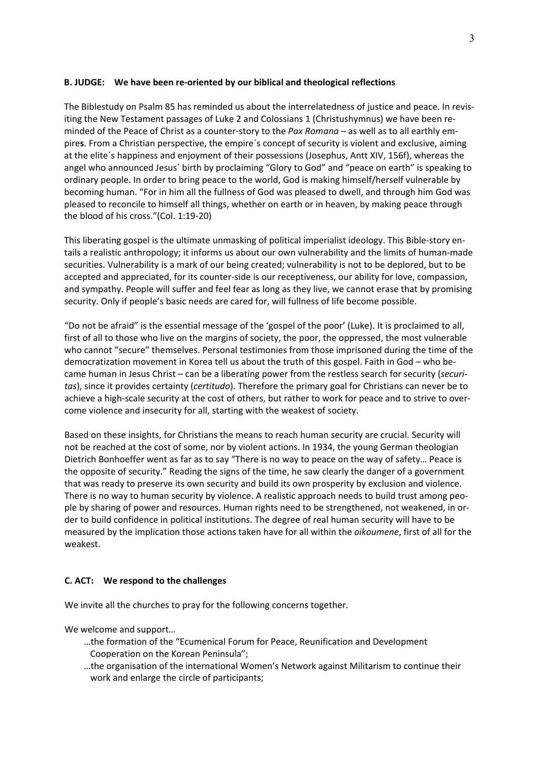### **B. JUDGE: We have been re‐oriented by our biblical and theological reflections**

The Biblestudy on Psalm 85 has reminded us about the interrelatedness of justice and peace. In revis‐ iting the New Testament passages of Luke 2 and Colossians 1 (Christushymnus) we have been re‐ minded of the Peace of Christ as a counter-story to the *Pax Romana* – as well as to all earthly empire**s**. From a Christian perspective, the empire´s concept of security is violent and exclusive, aiming at the elite´s happiness and enjoyment of their possessions (Josephus, Antt XIV, 156f), whereas the angel who announced Jesus´ birth by proclaiming "Glory to God" and "peace on earth" is speaking to ordinary people. In order to bring peace to the world, God is making himself/herself vulnerable by becoming human. "For in him all the fullness of God was pleased to dwell, and through him God was pleased to reconcile to himself all things, whether on earth or in heaven, by making peace through the blood of his cross."(Col. 1:19‐20)

This liberating gospel is the ultimate unmasking of political imperialist ideology. This Bible‐story en‐ tails a realistic anthropology; it informs us about our own vulnerability and the limits of human-made securities. Vulnerability is a mark of our being created; vulnerability is not to be deplored, but to be accepted and appreciated, for its counter‐side is our receptiveness, our ability for love, compassion, and sympathy. People will suffer and feel fear as long as they live, we cannot erase that by promising security. Only if people's basic needs are cared for, will fullness of life become possible.

"Do not be afraid" is the essential message of the 'gospel of the poor' (Luke). It is proclaimed to all, first of all to those who live on the margins of society, the poor, the oppressed, the most vulnerable who cannot "secure" themselves. Personal testimonies from those imprisoned during the time of the democratization movement in Korea tell us about the truth of this gospel. Faith in God – who be‐ came human in Jesus Christ – can be a liberating power from the restless search for security (*securi‐ tas*), since it provides certainty (*certitudo*). Therefore the primary goal for Christians can never be to achieve a high-scale security at the cost of others, but rather to work for peace and to strive to overcome violence and insecurity for all, starting with the weakest of society.

Based on these insights, for Christians the means to reach human security are crucial. Security will not be reached at the cost of some, nor by violent actions. In 1934, the young German theologian Dietrich Bonhoeffer went as far as to say "There is no way to peace on the way of safety… Peace is the opposite of security." Reading the signs of the time, he saw clearly the danger of a government that was ready to preserve its own security and build its own prosperity by exclusion and violence. There is no way to human security by violence. A realistic approach needs to build trust among peo‐ ple by sharing of power and resources. Human rights need to be strengthened, not weakened, in or‐ der to build confidence in political institutions. The degree of real human security will have to be measured by the implication those actions taken have for all within the *oikoumene*, first of all for the weakest.

### **C. ACT: We respond to the challenges**

We invite all the churches to pray for the following concerns together.

We welcome and support…

- …the formation of the "Ecumenical Forum for Peace, Reunification and Development Cooperation on the Korean Peninsula";
- …the organisation of the international Women's Network against Militarism to continue their work and enlarge the circle of participants;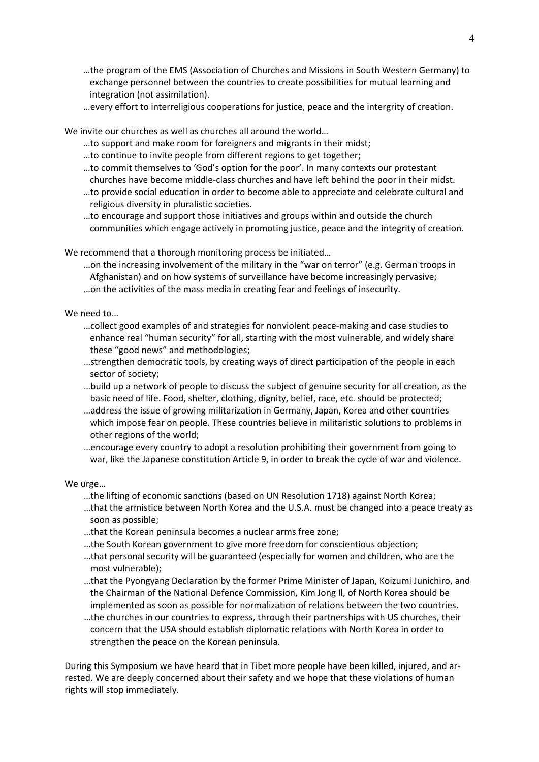- …the program of the EMS (Association of Churches and Missions in South Western Germany) to exchange personnel between the countries to create possibilities for mutual learning and integration (not assimilation).
- …every effort to interreligious cooperations for justice, peace and the intergrity of creation.

We invite our churches as well as churches all around the world…

- …to support and make room for foreigners and migrants in their midst;
- …to continue to invite people from different regions to get together;
- …to commit themselves to 'God's option for the poor'. In many contexts our protestant churches have become middle‐class churches and have left behind the poor in their midst.
- …to provide social education in order to become able to appreciate and celebrate cultural and religious diversity in pluralistic societies.
- …to encourage and support those initiatives and groups within and outside the church communities which engage actively in promoting justice, peace and the integrity of creation.

We recommend that a thorough monitoring process be initiated…

- …on the increasing involvement of the military in the "war on terror" (e.g. German troops in Afghanistan) and on how systems of surveillance have become increasingly pervasive;
- …on the activities of the mass media in creating fear and feelings of insecurity.

We need to…

- …collect good examples of and strategies for nonviolent peace‐making and case studies to enhance real "human security" for all, starting with the most vulnerable, and widely share these "good news" and methodologies;
- …strengthen democratic tools, by creating ways of direct participation of the people in each sector of society;
- …build up a network of people to discuss the subject of genuine security for all creation, as the basic need of life. Food, shelter, clothing, dignity, belief, race, etc. should be protected;
- …address the issue of growing militarization in Germany, Japan, Korea and other countries which impose fear on people. These countries believe in militaristic solutions to problems in other regions of the world;
- …encourage every country to adopt a resolution prohibiting their government from going to war, like the Japanese constitution Article 9, in order to break the cycle of war and violence.

We urge…

- …the lifting of economic sanctions (based on UN Resolution 1718) against North Korea;
- …that the armistice between North Korea and the U.S.A. must be changed into a peace treaty as soon as possible;
- …that the Korean peninsula becomes a nuclear arms free zone;
- …the South Korean government to give more freedom for conscientious objection;
- …that personal security will be guaranteed (especially for women and children, who are the most vulnerable);
- …that the Pyongyang Declaration by the former Prime Minister of Japan, Koizumi Junichiro, and the Chairman of the National Defence Commission, Kim Jong Il, of North Korea should be implemented as soon as possible for normalization of relations between the two countries.
- …the churches in our countries to express, through their partnerships with US churches, their concern that the USA should establish diplomatic relations with North Korea in order to strengthen the peace on the Korean peninsula.

During this Symposium we have heard that in Tibet more people have been killed, injured, and ar‐ rested. We are deeply concerned about their safety and we hope that these violations of human rights will stop immediately.